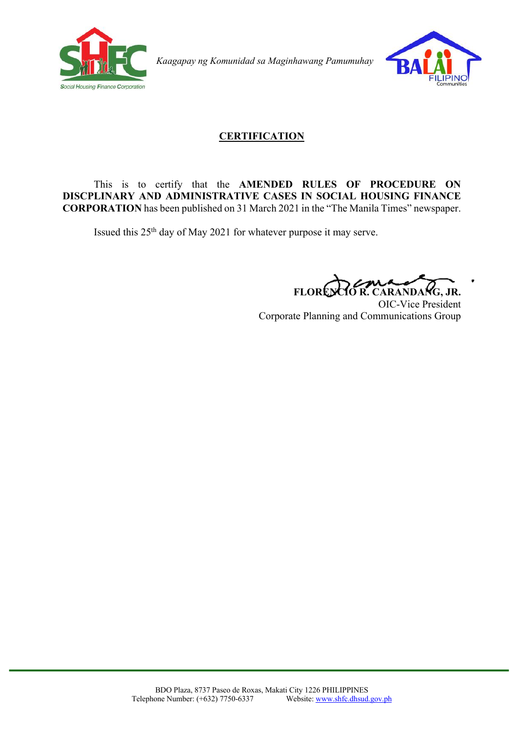

*Kaagapay ng Komunidad sa Maginhawang Pamumuhay*



# **CERTIFICATION**

### This is to certify that the **AMENDED RULES OF PROCEDURE ON DISCPLINARY AND ADMINISTRATIVE CASES IN SOCIAL HOUSING FINANCE CORPORATION** has been published on 31 March 2021 in the "The Manila Times" newspaper.

Issued this 25th day of May 2021 for whatever purpose it may serve.

**FLORENCIO R. CARANDANG, JR.**

OIC-Vice President Corporate Planning and Communications Group

ł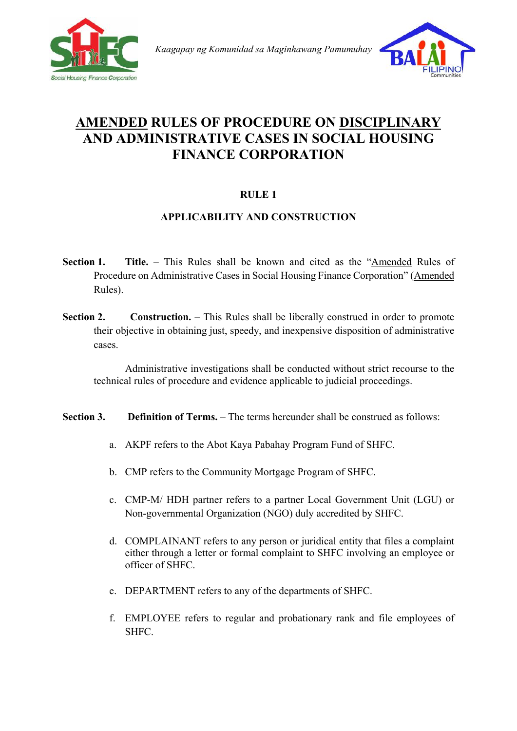

 *Kaagapay ng Komunidad sa Maginhawang Pamumuhay* 



# **AMENDED RULES OF PROCEDURE ON DISCIPLINARY AND ADMINISTRATIVE CASES IN SOCIAL HOUSING FINANCE CORPORATION**

# **RULE 1**

## **APPLICABILITY AND CONSTRUCTION**

- **Section 1. Title.** This Rules shall be known and cited as the "Amended Rules of Procedure on Administrative Cases in Social Housing Finance Corporation" (Amended Rules).
- **Section 2. Construction.** This Rules shall be liberally construed in order to promote their objective in obtaining just, speedy, and inexpensive disposition of administrative cases.

Administrative investigations shall be conducted without strict recourse to the technical rules of procedure and evidence applicable to judicial proceedings.

#### **Section 3. Definition of Terms.** – The terms hereunder shall be construed as follows:

- a. AKPF refers to the Abot Kaya Pabahay Program Fund of SHFC.
- b. CMP refers to the Community Mortgage Program of SHFC.
- c. CMP-M/ HDH partner refers to a partner Local Government Unit (LGU) or Non-governmental Organization (NGO) duly accredited by SHFC.
- d. COMPLAINANT refers to any person or juridical entity that files a complaint either through a letter or formal complaint to SHFC involving an employee or officer of SHFC.
- e. DEPARTMENT refers to any of the departments of SHFC.
- f. EMPLOYEE refers to regular and probationary rank and file employees of SHFC.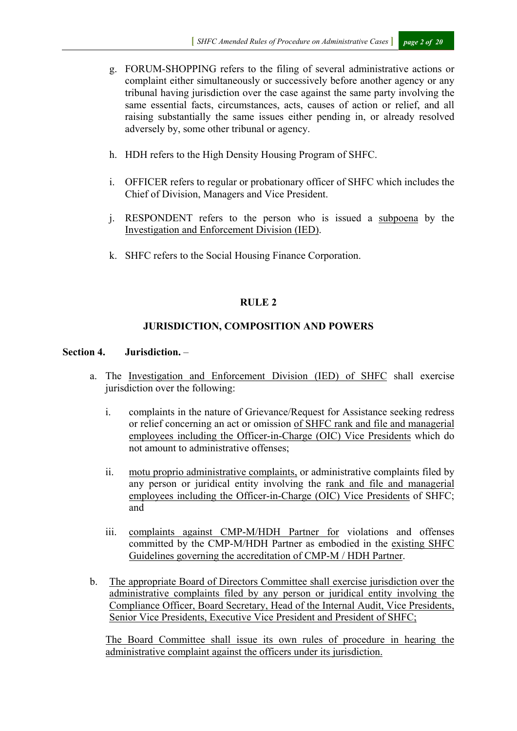- g. FORUM-SHOPPING refers to the filing of several administrative actions or complaint either simultaneously or successively before another agency or any tribunal having jurisdiction over the case against the same party involving the same essential facts, circumstances, acts, causes of action or relief, and all raising substantially the same issues either pending in, or already resolved adversely by, some other tribunal or agency.
- h. HDH refers to the High Density Housing Program of SHFC.
- i. OFFICER refers to regular or probationary officer of SHFC which includes the Chief of Division, Managers and Vice President.
- j. RESPONDENT refers to the person who is issued a subpoena by the Investigation and Enforcement Division (IED).
- k. SHFC refers to the Social Housing Finance Corporation.

#### **RULE 2**

#### **JURISDICTION, COMPOSITION AND POWERS**

#### **Section 4. Jurisdiction.** –

- a. The Investigation and Enforcement Division (IED) of SHFC shall exercise jurisdiction over the following:
	- i. complaints in the nature of Grievance/Request for Assistance seeking redress or relief concerning an act or omission of SHFC rank and file and managerial employees including the Officer-in-Charge (OIC) Vice Presidents which do not amount to administrative offenses;
	- ii. motu proprio administrative complaints, or administrative complaints filed by any person or juridical entity involving the rank and file and managerial employees including the Officer-in-Charge (OIC) Vice Presidents of SHFC; and
	- iii. complaints against CMP-M/HDH Partner for violations and offenses committed by the CMP-M/HDH Partner as embodied in the existing SHFC Guidelines governing the accreditation of CMP-M / HDH Partner.
- b. The appropriate Board of Directors Committee shall exercise jurisdiction over the administrative complaints filed by any person or juridical entity involving the Compliance Officer, Board Secretary, Head of the Internal Audit, Vice Presidents, Senior Vice Presidents, Executive Vice President and President of SHFC;

The Board Committee shall issue its own rules of procedure in hearing the administrative complaint against the officers under its jurisdiction.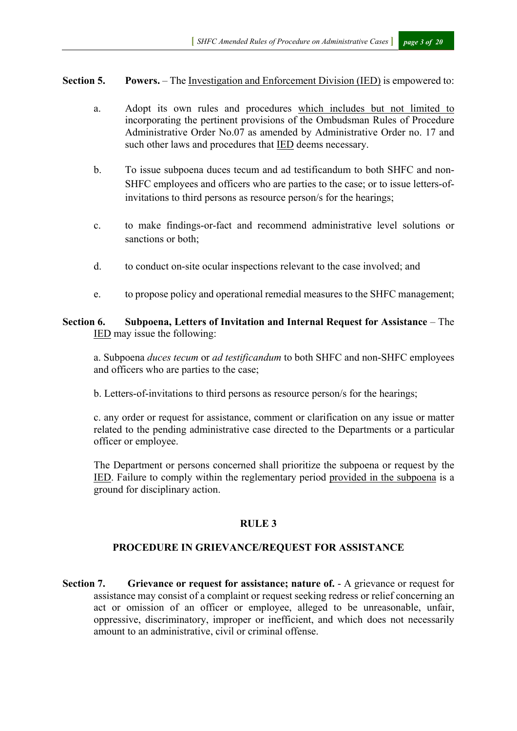#### **Section 5. Powers.** – The Investigation and Enforcement Division (IED) is empowered to:

- a. Adopt its own rules and procedures which includes but not limited to incorporating the pertinent provisions of the Ombudsman Rules of Procedure Administrative Order No.07 as amended by Administrative Order no. 17 and such other laws and procedures that IED deems necessary.
- b. To issue subpoena duces tecum and ad testificandum to both SHFC and non-SHFC employees and officers who are parties to the case; or to issue letters-ofinvitations to third persons as resource person/s for the hearings;
- c. to make findings-or-fact and recommend administrative level solutions or sanctions or both;
- d. to conduct on-site ocular inspections relevant to the case involved; and
- e. to propose policy and operational remedial measures to the SHFC management;

#### **Section 6. Subpoena, Letters of Invitation and Internal Request for Assistance** – The IED may issue the following:

a. Subpoena *duces tecum* or *ad testificandum* to both SHFC and non-SHFC employees and officers who are parties to the case;

b. Letters-of-invitations to third persons as resource person/s for the hearings;

c. any order or request for assistance, comment or clarification on any issue or matter related to the pending administrative case directed to the Departments or a particular officer or employee.

The Department or persons concerned shall prioritize the subpoena or request by the IED. Failure to comply within the reglementary period provided in the subpoena is a ground for disciplinary action.

#### **RULE 3**

#### **PROCEDURE IN GRIEVANCE/REQUEST FOR ASSISTANCE**

**Section 7. Grievance or request for assistance; nature of.** - A grievance or request for assistance may consist of a complaint or request seeking redress or relief concerning an act or omission of an officer or employee, alleged to be unreasonable, unfair, oppressive, discriminatory, improper or inefficient, and which does not necessarily amount to an administrative, civil or criminal offense.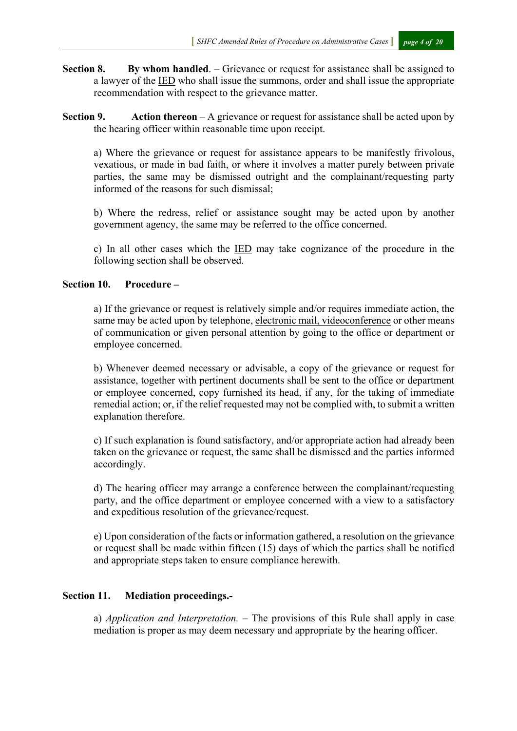- **Section 8. By whom handled**. Grievance or request for assistance shall be assigned to a lawyer of the IED who shall issue the summons, order and shall issue the appropriate recommendation with respect to the grievance matter.
- **Section 9. Action thereon**  A grievance or request for assistance shall be acted upon by the hearing officer within reasonable time upon receipt.

a) Where the grievance or request for assistance appears to be manifestly frivolous, vexatious, or made in bad faith, or where it involves a matter purely between private parties, the same may be dismissed outright and the complainant/requesting party informed of the reasons for such dismissal;

b) Where the redress, relief or assistance sought may be acted upon by another government agency, the same may be referred to the office concerned.

c) In all other cases which the IED may take cognizance of the procedure in the following section shall be observed.

#### **Section 10. Procedure –**

a) If the grievance or request is relatively simple and/or requires immediate action, the same may be acted upon by telephone, electronic mail, videoconference or other means of communication or given personal attention by going to the office or department or employee concerned.

b) Whenever deemed necessary or advisable, a copy of the grievance or request for assistance, together with pertinent documents shall be sent to the office or department or employee concerned, copy furnished its head, if any, for the taking of immediate remedial action; or, if the relief requested may not be complied with, to submit a written explanation therefore.

c) If such explanation is found satisfactory, and/or appropriate action had already been taken on the grievance or request, the same shall be dismissed and the parties informed accordingly.

d) The hearing officer may arrange a conference between the complainant/requesting party, and the office department or employee concerned with a view to a satisfactory and expeditious resolution of the grievance/request.

e) Upon consideration of the facts or information gathered, a resolution on the grievance or request shall be made within fifteen (15) days of which the parties shall be notified and appropriate steps taken to ensure compliance herewith.

#### **Section 11. Mediation proceedings.-**

a) *Application and Interpretation. –* The provisions of this Rule shall apply in case mediation is proper as may deem necessary and appropriate by the hearing officer.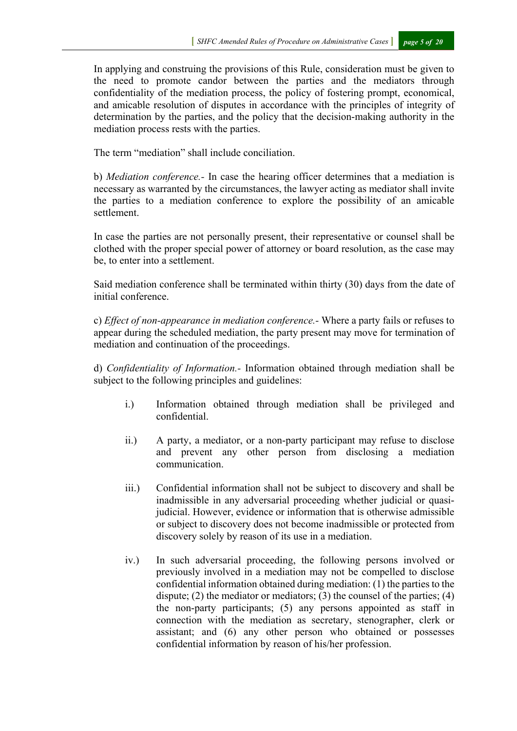In applying and construing the provisions of this Rule, consideration must be given to the need to promote candor between the parties and the mediators through confidentiality of the mediation process, the policy of fostering prompt, economical, and amicable resolution of disputes in accordance with the principles of integrity of determination by the parties, and the policy that the decision-making authority in the mediation process rests with the parties.

The term "mediation" shall include conciliation.

b) *Mediation conference.-* In case the hearing officer determines that a mediation is necessary as warranted by the circumstances, the lawyer acting as mediator shall invite the parties to a mediation conference to explore the possibility of an amicable settlement.

In case the parties are not personally present, their representative or counsel shall be clothed with the proper special power of attorney or board resolution, as the case may be, to enter into a settlement.

Said mediation conference shall be terminated within thirty (30) days from the date of initial conference.

c) *Effect of non-appearance in mediation conference.-* Where a party fails or refuses to appear during the scheduled mediation, the party present may move for termination of mediation and continuation of the proceedings.

d) *Confidentiality of Information.-* Information obtained through mediation shall be subject to the following principles and guidelines:

- i.) Information obtained through mediation shall be privileged and confidential.
- ii.) A party, a mediator, or a non-party participant may refuse to disclose and prevent any other person from disclosing a mediation communication.
- iii.) Confidential information shall not be subject to discovery and shall be inadmissible in any adversarial proceeding whether judicial or quasijudicial. However, evidence or information that is otherwise admissible or subject to discovery does not become inadmissible or protected from discovery solely by reason of its use in a mediation.
- iv.) In such adversarial proceeding, the following persons involved or previously involved in a mediation may not be compelled to disclose confidential information obtained during mediation: (1) the parties to the dispute; (2) the mediator or mediators; (3) the counsel of the parties; (4) the non-party participants; (5) any persons appointed as staff in connection with the mediation as secretary, stenographer, clerk or assistant; and (6) any other person who obtained or possesses confidential information by reason of his/her profession.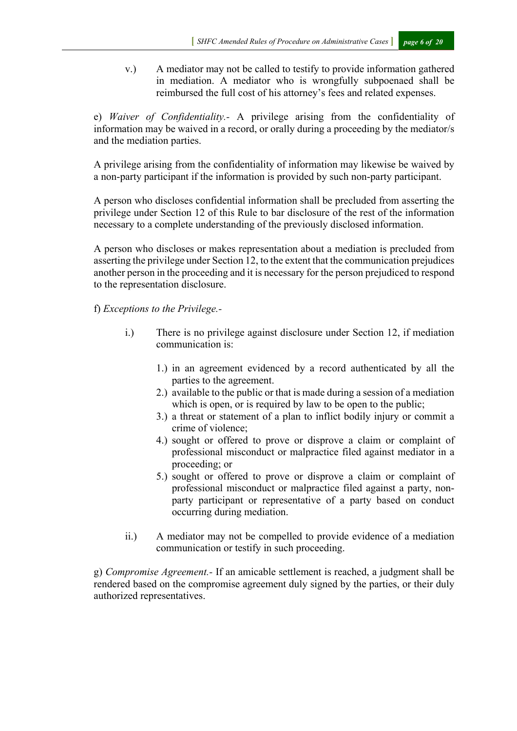v.) A mediator may not be called to testify to provide information gathered in mediation. A mediator who is wrongfully subpoenaed shall be reimbursed the full cost of his attorney's fees and related expenses.

e) *Waiver of Confidentiality.-* A privilege arising from the confidentiality of information may be waived in a record, or orally during a proceeding by the mediator/s and the mediation parties.

A privilege arising from the confidentiality of information may likewise be waived by a non-party participant if the information is provided by such non-party participant.

A person who discloses confidential information shall be precluded from asserting the privilege under Section 12 of this Rule to bar disclosure of the rest of the information necessary to a complete understanding of the previously disclosed information.

A person who discloses or makes representation about a mediation is precluded from asserting the privilege under Section 12, to the extent that the communication prejudices another person in the proceeding and it is necessary for the person prejudiced to respond to the representation disclosure.

f) *Exceptions to the Privilege.-* 

- i.) There is no privilege against disclosure under Section 12, if mediation communication is:
	- 1.) in an agreement evidenced by a record authenticated by all the parties to the agreement.
	- 2.) available to the public or that is made during a session of a mediation which is open, or is required by law to be open to the public;
	- 3.) a threat or statement of a plan to inflict bodily injury or commit a crime of violence;
	- 4.) sought or offered to prove or disprove a claim or complaint of professional misconduct or malpractice filed against mediator in a proceeding; or
	- 5.) sought or offered to prove or disprove a claim or complaint of professional misconduct or malpractice filed against a party, nonparty participant or representative of a party based on conduct occurring during mediation.
- ii.) A mediator may not be compelled to provide evidence of a mediation communication or testify in such proceeding.

g) *Compromise Agreement.-* If an amicable settlement is reached, a judgment shall be rendered based on the compromise agreement duly signed by the parties, or their duly authorized representatives.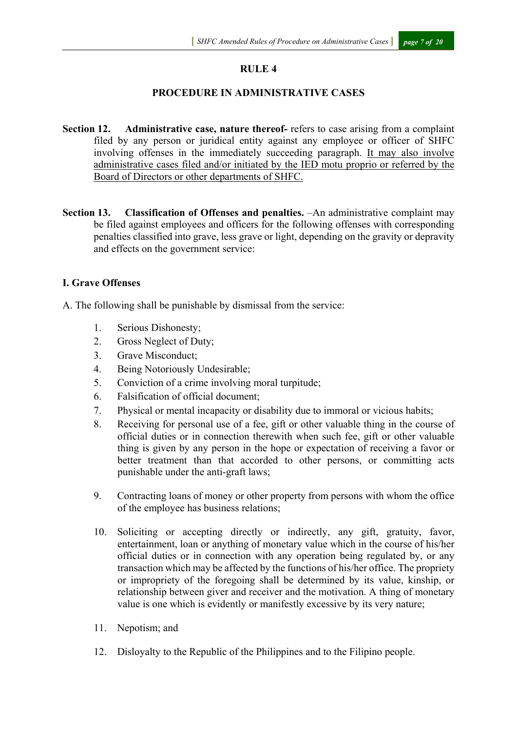#### **RULE 4**

#### **PROCEDURE IN ADMINISTRATIVE CASES**

- **Section 12. Administrative case, nature thereof-** refers to case arising from a complaint filed by any person or juridical entity against any employee or officer of SHFC involving offenses in the immediately succeeding paragraph. It may also involve administrative cases filed and/or initiated by the IED motu proprio or referred by the Board of Directors or other departments of SHFC.
- **Section 13. Classification of Offenses and penalties.** –An administrative complaint may be filed against employees and officers for the following offenses with corresponding penalties classified into grave, less grave or light, depending on the gravity or depravity and effects on the government service:

#### **I. Grave Offenses**

A. The following shall be punishable by dismissal from the service:

- 1. Serious Dishonesty;
- 2. Gross Neglect of Duty;
- 3. Grave Misconduct;
- 4. Being Notoriously Undesirable;
- 5. Conviction of a crime involving moral turpitude;
- 6. Falsification of official document;
- 7. Physical or mental incapacity or disability due to immoral or vicious habits;
- 8. Receiving for personal use of a fee, gift or other valuable thing in the course of official duties or in connection therewith when such fee, gift or other valuable thing is given by any person in the hope or expectation of receiving a favor or better treatment than that accorded to other persons, or committing acts punishable under the anti-graft laws;
- 9. Contracting loans of money or other property from persons with whom the office of the employee has business relations;
- 10. Soliciting or accepting directly or indirectly, any gift, gratuity, favor, entertainment, loan or anything of monetary value which in the course of his/her official duties or in connection with any operation being regulated by, or any transaction which may be affected by the functions of his/her office. The propriety or impropriety of the foregoing shall be determined by its value, kinship, or relationship between giver and receiver and the motivation. A thing of monetary value is one which is evidently or manifestly excessive by its very nature;
- 11. Nepotism; and
- 12. Disloyalty to the Republic of the Philippines and to the Filipino people.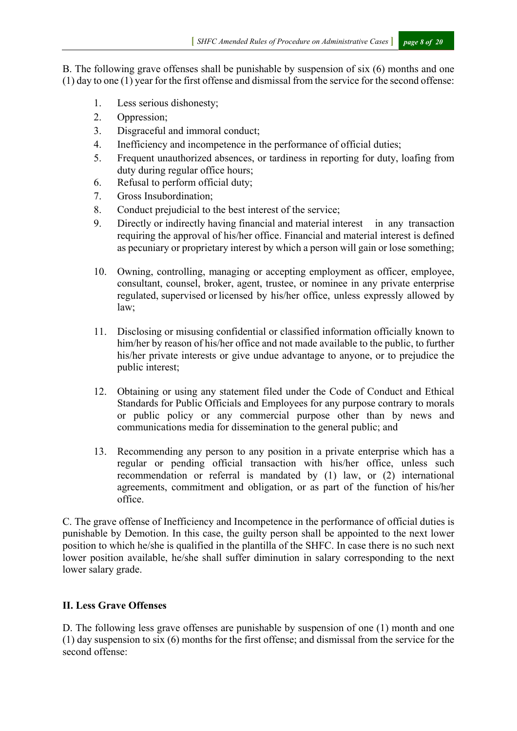B. The following grave offenses shall be punishable by suspension of six (6) months and one (1) day to one (1) year for the first offense and dismissal from the service for the second offense:

- 1. Less serious dishonesty;
- 2. Oppression;
- 3. Disgraceful and immoral conduct;
- 4. Inefficiency and incompetence in the performance of official duties;
- 5. Frequent unauthorized absences, or tardiness in reporting for duty, loafing from duty during regular office hours;
- 6. Refusal to perform official duty;
- 7. Gross Insubordination;
- 8. Conduct prejudicial to the best interest of the service;
- 9. Directly or indirectly having financial and material interest in any transaction requiring the approval of his/her office. Financial and material interest is defined as pecuniary or proprietary interest by which a person will gain or lose something;
- 10. Owning, controlling, managing or accepting employment as officer, employee, consultant, counsel, broker, agent, trustee, or nominee in any private enterprise regulated, supervised or licensed by his/her office, unless expressly allowed by law;
- 11. Disclosing or misusing confidential or classified information officially known to him/her by reason of his/her office and not made available to the public, to further his/her private interests or give undue advantage to anyone, or to prejudice the public interest;
- 12. Obtaining or using any statement filed under the Code of Conduct and Ethical Standards for Public Officials and Employees for any purpose contrary to morals or public policy or any commercial purpose other than by news and communications media for dissemination to the general public; and
- 13. Recommending any person to any position in a private enterprise which has a regular or pending official transaction with his/her office, unless such recommendation or referral is mandated by (1) law, or (2) international agreements, commitment and obligation, or as part of the function of his/her office.

C. The grave offense of Inefficiency and Incompetence in the performance of official duties is punishable by Demotion. In this case, the guilty person shall be appointed to the next lower position to which he/she is qualified in the plantilla of the SHFC. In case there is no such next lower position available, he/she shall suffer diminution in salary corresponding to the next lower salary grade.

#### **II. Less Grave Offenses**

D. The following less grave offenses are punishable by suspension of one (1) month and one (1) day suspension to six (6) months for the first offense; and dismissal from the service for the second offense: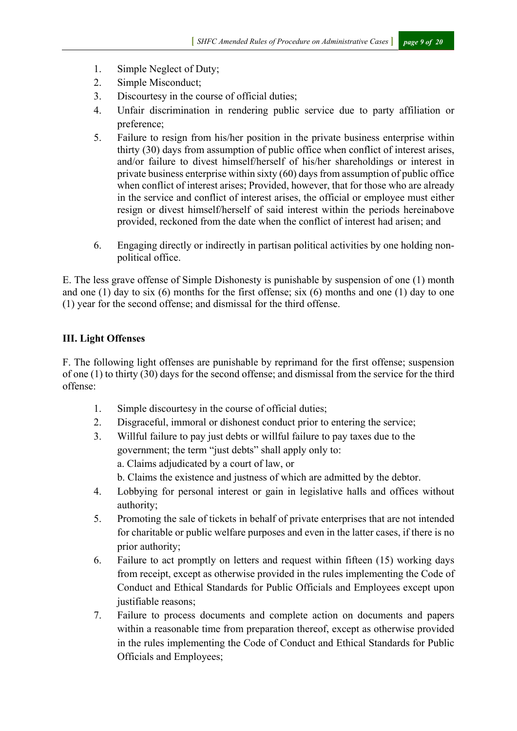- 1. Simple Neglect of Duty;
- 2. Simple Misconduct;
- 3. Discourtesy in the course of official duties;
- 4. Unfair discrimination in rendering public service due to party affiliation or preference;
- 5. Failure to resign from his/her position in the private business enterprise within thirty (30) days from assumption of public office when conflict of interest arises, and/or failure to divest himself/herself of his/her shareholdings or interest in private business enterprise within sixty (60) days from assumption of public office when conflict of interest arises; Provided, however, that for those who are already in the service and conflict of interest arises, the official or employee must either resign or divest himself/herself of said interest within the periods hereinabove provided, reckoned from the date when the conflict of interest had arisen; and
- 6. Engaging directly or indirectly in partisan political activities by one holding nonpolitical office.

E. The less grave offense of Simple Dishonesty is punishable by suspension of one (1) month and one  $(1)$  day to six  $(6)$  months for the first offense; six  $(6)$  months and one  $(1)$  day to one (1) year for the second offense; and dismissal for the third offense.

## **III. Light Offenses**

F. The following light offenses are punishable by reprimand for the first offense; suspension of one (1) to thirty (30) days for the second offense; and dismissal from the service for the third offense:

- 1. Simple discourtesy in the course of official duties;
- 2. Disgraceful, immoral or dishonest conduct prior to entering the service;
- 3. Willful failure to pay just debts or willful failure to pay taxes due to the government; the term "just debts" shall apply only to:

a. Claims adjudicated by a court of law, or

- b. Claims the existence and justness of which are admitted by the debtor.
- 4. Lobbying for personal interest or gain in legislative halls and offices without authority;
- 5. Promoting the sale of tickets in behalf of private enterprises that are not intended for charitable or public welfare purposes and even in the latter cases, if there is no prior authority;
- 6. Failure to act promptly on letters and request within fifteen (15) working days from receipt, except as otherwise provided in the rules implementing the Code of Conduct and Ethical Standards for Public Officials and Employees except upon justifiable reasons;
- 7. Failure to process documents and complete action on documents and papers within a reasonable time from preparation thereof, except as otherwise provided in the rules implementing the Code of Conduct and Ethical Standards for Public Officials and Employees;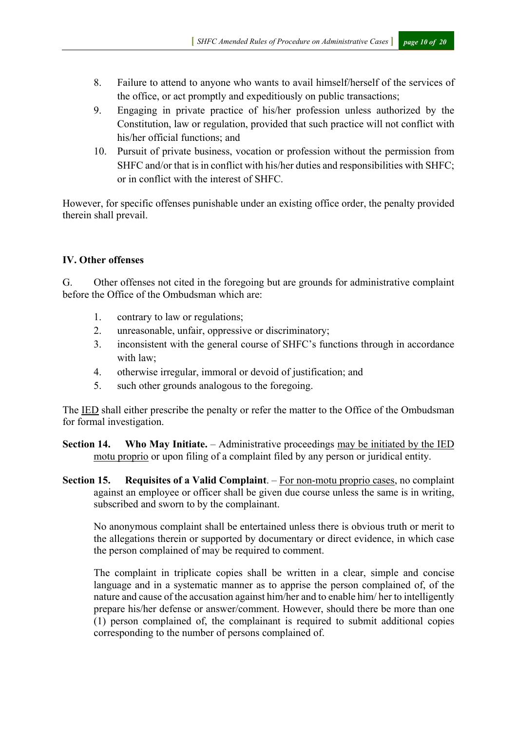- 8. Failure to attend to anyone who wants to avail himself/herself of the services of the office, or act promptly and expeditiously on public transactions;
- 9. Engaging in private practice of his/her profession unless authorized by the Constitution, law or regulation, provided that such practice will not conflict with his/her official functions; and
- 10. Pursuit of private business, vocation or profession without the permission from SHFC and/or that is in conflict with his/her duties and responsibilities with SHFC; or in conflict with the interest of SHFC.

However, for specific offenses punishable under an existing office order, the penalty provided therein shall prevail.

#### **IV. Other offenses**

G. Other offenses not cited in the foregoing but are grounds for administrative complaint before the Office of the Ombudsman which are:

- 1. contrary to law or regulations;
- 2. unreasonable, unfair, oppressive or discriminatory;
- 3. inconsistent with the general course of SHFC's functions through in accordance with law;
- 4. otherwise irregular, immoral or devoid of justification; and
- 5. such other grounds analogous to the foregoing.

The IED shall either prescribe the penalty or refer the matter to the Office of the Ombudsman for formal investigation.

**Section 14. Who May Initiate.** – Administrative proceedings may be initiated by the IED motu proprio or upon filing of a complaint filed by any person or juridical entity.

**Section 15. Requisites of a Valid Complaint**. – For non-motu proprio cases, no complaint against an employee or officer shall be given due course unless the same is in writing, subscribed and sworn to by the complainant.

No anonymous complaint shall be entertained unless there is obvious truth or merit to the allegations therein or supported by documentary or direct evidence, in which case the person complained of may be required to comment.

The complaint in triplicate copies shall be written in a clear, simple and concise language and in a systematic manner as to apprise the person complained of, of the nature and cause of the accusation against him/her and to enable him/ her to intelligently prepare his/her defense or answer/comment. However, should there be more than one (1) person complained of, the complainant is required to submit additional copies corresponding to the number of persons complained of.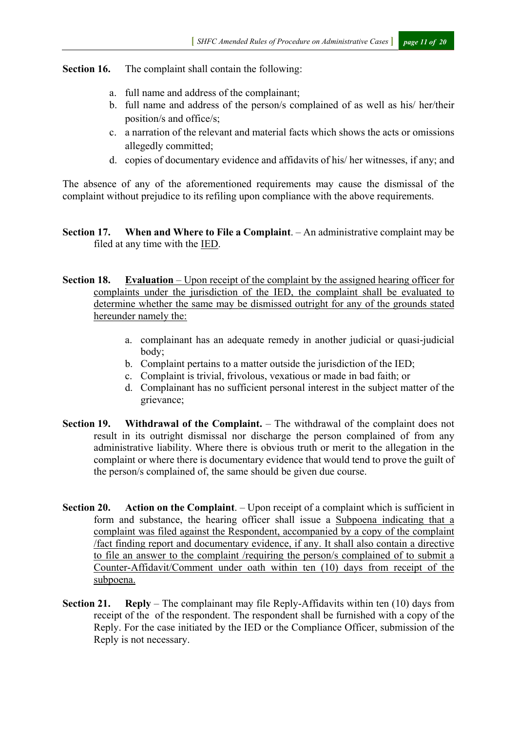#### **Section 16.** The complaint shall contain the following:

- a. full name and address of the complainant;
- b. full name and address of the person/s complained of as well as his/ her/their position/s and office/s;
- c. a narration of the relevant and material facts which shows the acts or omissions allegedly committed;
- d. copies of documentary evidence and affidavits of his/ her witnesses, if any; and

The absence of any of the aforementioned requirements may cause the dismissal of the complaint without prejudice to its refiling upon compliance with the above requirements.

#### **Section 17. When and Where to File a Complaint**. – An administrative complaint may be filed at any time with the IED.

**Section 18. Evaluation** – Upon receipt of the complaint by the assigned hearing officer for complaints under the jurisdiction of the IED, the complaint shall be evaluated to determine whether the same may be dismissed outright for any of the grounds stated hereunder namely the:

- a. complainant has an adequate remedy in another judicial or quasi-judicial body;
- b. Complaint pertains to a matter outside the jurisdiction of the IED;
- c. Complaint is trivial, frivolous, vexatious or made in bad faith; or
- d. Complainant has no sufficient personal interest in the subject matter of the grievance;
- **Section 19. Withdrawal of the Complaint.** The withdrawal of the complaint does not result in its outright dismissal nor discharge the person complained of from any administrative liability. Where there is obvious truth or merit to the allegation in the complaint or where there is documentary evidence that would tend to prove the guilt of the person/s complained of, the same should be given due course.
- **Section 20. Action on the Complaint**. Upon receipt of a complaint which is sufficient in form and substance, the hearing officer shall issue a Subpoena indicating that a complaint was filed against the Respondent, accompanied by a copy of the complaint /fact finding report and documentary evidence, if any. It shall also contain a directive to file an answer to the complaint /requiring the person/s complained of to submit a Counter-Affidavit/Comment under oath within ten (10) days from receipt of the subpoena.
- **Section 21. Reply** The complainant may file Reply-Affidavits within ten (10) days from receipt of the of the respondent. The respondent shall be furnished with a copy of the Reply. For the case initiated by the IED or the Compliance Officer, submission of the Reply is not necessary.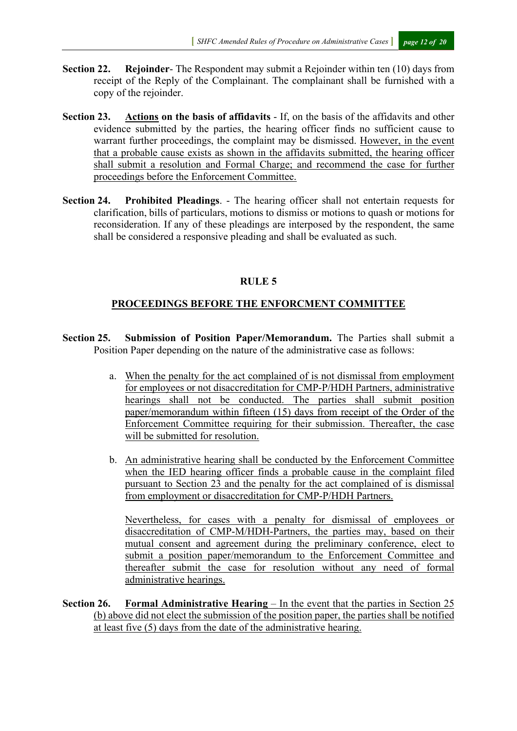- **Section 22. Rejoinder** The Respondent may submit a Rejoinder within ten (10) days from receipt of the Reply of the Complainant. The complainant shall be furnished with a copy of the rejoinder.
- **Section 23. Actions on the basis of affidavits** If, on the basis of the affidavits and other evidence submitted by the parties, the hearing officer finds no sufficient cause to warrant further proceedings, the complaint may be dismissed. However, in the event that a probable cause exists as shown in the affidavits submitted, the hearing officer shall submit a resolution and Formal Charge; and recommend the case for further proceedings before the Enforcement Committee.
- **Section 24. Prohibited Pleadings**. The hearing officer shall not entertain requests for clarification, bills of particulars, motions to dismiss or motions to quash or motions for reconsideration. If any of these pleadings are interposed by the respondent, the same shall be considered a responsive pleading and shall be evaluated as such.

#### **RULE 5**

#### **PROCEEDINGS BEFORE THE ENFORCMENT COMMITTEE**

- **Section 25. Submission of Position Paper/Memorandum.** The Parties shall submit a Position Paper depending on the nature of the administrative case as follows:
	- a. When the penalty for the act complained of is not dismissal from employment for employees or not disaccreditation for CMP-P/HDH Partners, administrative hearings shall not be conducted. The parties shall submit position paper/memorandum within fifteen (15) days from receipt of the Order of the Enforcement Committee requiring for their submission. Thereafter, the case will be submitted for resolution.
	- b. An administrative hearing shall be conducted by the Enforcement Committee when the IED hearing officer finds a probable cause in the complaint filed pursuant to Section 23 and the penalty for the act complained of is dismissal from employment or disaccreditation for CMP-P/HDH Partners.

Nevertheless, for cases with a penalty for dismissal of employees or disaccreditation of CMP-M/HDH-Partners, the parties may, based on their mutual consent and agreement during the preliminary conference, elect to submit a position paper/memorandum to the Enforcement Committee and thereafter submit the case for resolution without any need of formal administrative hearings.

**Section 26. Formal Administrative Hearing** – In the event that the parties in Section 25 (b) above did not elect the submission of the position paper, the parties shall be notified at least five (5) days from the date of the administrative hearing.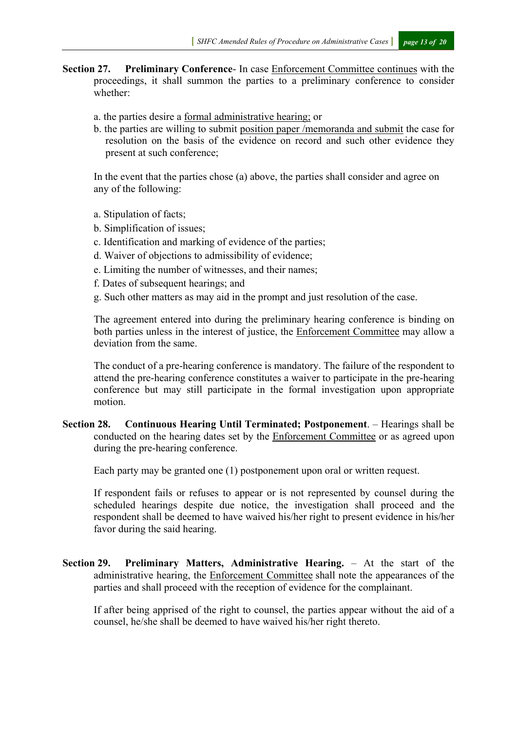**Section 27. Preliminary Conference**- In case Enforcement Committee continues with the proceedings, it shall summon the parties to a preliminary conference to consider whether:

- a. the parties desire a formal administrative hearing; or
- b. the parties are willing to submit position paper /memoranda and submit the case for resolution on the basis of the evidence on record and such other evidence they present at such conference;

In the event that the parties chose (a) above, the parties shall consider and agree on any of the following:

- a. Stipulation of facts;
- b. Simplification of issues;
- c. Identification and marking of evidence of the parties;
- d. Waiver of objections to admissibility of evidence;
- e. Limiting the number of witnesses, and their names;
- f. Dates of subsequent hearings; and
- g. Such other matters as may aid in the prompt and just resolution of the case.

The agreement entered into during the preliminary hearing conference is binding on both parties unless in the interest of justice, the Enforcement Committee may allow a deviation from the same.

The conduct of a pre-hearing conference is mandatory. The failure of the respondent to attend the pre-hearing conference constitutes a waiver to participate in the pre-hearing conference but may still participate in the formal investigation upon appropriate motion.

**Section 28. Continuous Hearing Until Terminated; Postponement**. – Hearings shall be conducted on the hearing dates set by the Enforcement Committee or as agreed upon during the pre-hearing conference.

Each party may be granted one (1) postponement upon oral or written request.

If respondent fails or refuses to appear or is not represented by counsel during the scheduled hearings despite due notice, the investigation shall proceed and the respondent shall be deemed to have waived his/her right to present evidence in his/her favor during the said hearing.

**Section 29. Preliminary Matters, Administrative Hearing.** – At the start of the administrative hearing, the Enforcement Committee shall note the appearances of the parties and shall proceed with the reception of evidence for the complainant.

If after being apprised of the right to counsel, the parties appear without the aid of a counsel, he/she shall be deemed to have waived his/her right thereto.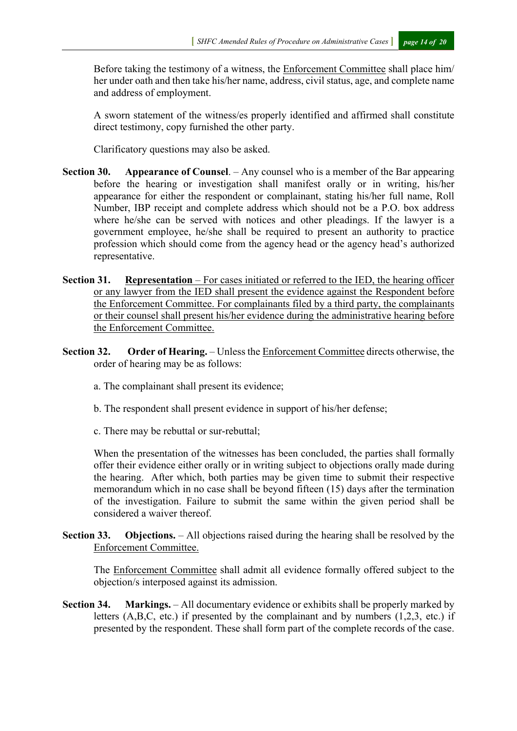Before taking the testimony of a witness, the Enforcement Committee shall place him/ her under oath and then take his/her name, address, civil status, age, and complete name and address of employment.

A sworn statement of the witness/es properly identified and affirmed shall constitute direct testimony, copy furnished the other party.

Clarificatory questions may also be asked.

- **Section 30. Appearance of Counsel**. Any counsel who is a member of the Bar appearing before the hearing or investigation shall manifest orally or in writing, his/her appearance for either the respondent or complainant, stating his/her full name, Roll Number, IBP receipt and complete address which should not be a P.O. box address where he/she can be served with notices and other pleadings. If the lawyer is a government employee, he/she shall be required to present an authority to practice profession which should come from the agency head or the agency head's authorized representative.
- **Section 31. Representation** For cases initiated or referred to the IED, the hearing officer or any lawyer from the IED shall present the evidence against the Respondent before the Enforcement Committee. For complainants filed by a third party, the complainants or their counsel shall present his/her evidence during the administrative hearing before the Enforcement Committee.
- **Section 32. Order of Hearing.** Unless the Enforcement Committee directs otherwise, the order of hearing may be as follows:
	- a. The complainant shall present its evidence;
	- b. The respondent shall present evidence in support of his/her defense;
	- c. There may be rebuttal or sur-rebuttal;

When the presentation of the witnesses has been concluded, the parties shall formally offer their evidence either orally or in writing subject to objections orally made during the hearing. After which, both parties may be given time to submit their respective memorandum which in no case shall be beyond fifteen (15) days after the termination of the investigation. Failure to submit the same within the given period shall be considered a waiver thereof.

**Section 33. Objections.** – All objections raised during the hearing shall be resolved by the Enforcement Committee.

The Enforcement Committee shall admit all evidence formally offered subject to the objection/s interposed against its admission.

**Section 34. Markings.** – All documentary evidence or exhibits shall be properly marked by letters (A,B,C, etc.) if presented by the complainant and by numbers (1,2,3, etc.) if presented by the respondent. These shall form part of the complete records of the case.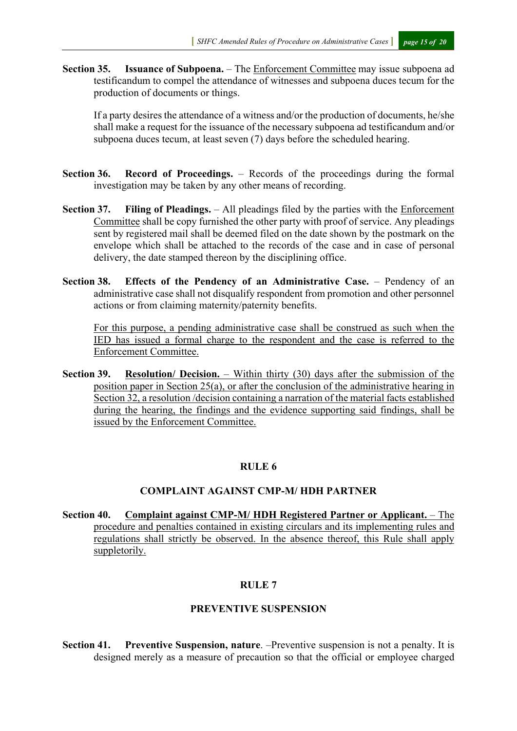**Section 35. Issuance of Subpoena.** – The Enforcement Committee may issue subpoena ad testificandum to compel the attendance of witnesses and subpoena duces tecum for the production of documents or things.

If a party desires the attendance of a witness and/or the production of documents, he/she shall make a request for the issuance of the necessary subpoena ad testificandum and/or subpoena duces tecum, at least seven (7) days before the scheduled hearing.

- **Section 36. Record of Proceedings.** Records of the proceedings during the formal investigation may be taken by any other means of recording.
- **Section 37. Filing of Pleadings.**  All pleadings filed by the parties with the Enforcement Committee shall be copy furnished the other party with proof of service. Any pleadings sent by registered mail shall be deemed filed on the date shown by the postmark on the envelope which shall be attached to the records of the case and in case of personal delivery, the date stamped thereon by the disciplining office.
- **Section 38. Effects of the Pendency of an Administrative Case.** Pendency of an administrative case shall not disqualify respondent from promotion and other personnel actions or from claiming maternity/paternity benefits.

For this purpose, a pending administrative case shall be construed as such when the IED has issued a formal charge to the respondent and the case is referred to the Enforcement Committee.

**Section 39. Resolution/ Decision.** – Within thirty (30) days after the submission of the position paper in Section 25(a), or after the conclusion of the administrative hearing in Section 32, a resolution /decision containing a narration of the material facts established during the hearing, the findings and the evidence supporting said findings, shall be issued by the Enforcement Committee.

#### **RULE 6**

#### **COMPLAINT AGAINST CMP-M/ HDH PARTNER**

**Section 40. Complaint against CMP-M/ HDH Registered Partner or Applicant.** – The procedure and penalties contained in existing circulars and its implementing rules and regulations shall strictly be observed. In the absence thereof, this Rule shall apply suppletorily.

#### **RULE 7**

#### **PREVENTIVE SUSPENSION**

**Section 41. Preventive Suspension, nature**. –Preventive suspension is not a penalty. It is designed merely as a measure of precaution so that the official or employee charged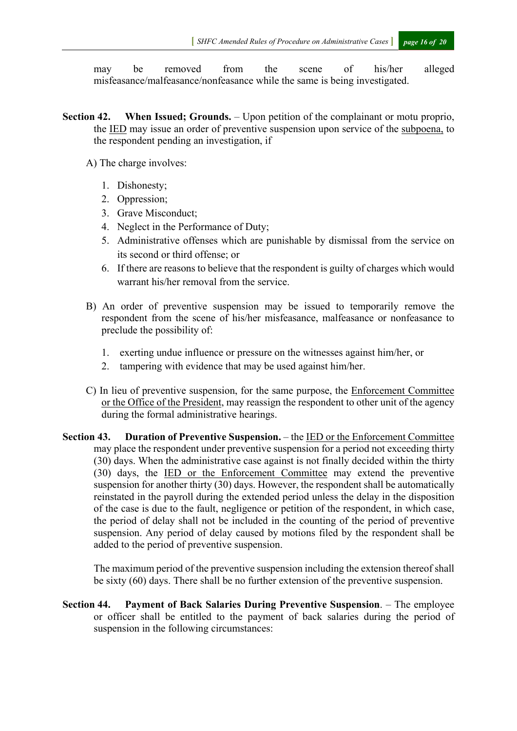may be removed from the scene of his/her alleged misfeasance/malfeasance/nonfeasance while the same is being investigated.

- **Section 42. When Issued; Grounds.** Upon petition of the complainant or motu proprio, the IED may issue an order of preventive suspension upon service of the subpoena, to the respondent pending an investigation, if
	- A) The charge involves:
		- 1. Dishonesty;
		- 2. Oppression;
		- 3. Grave Misconduct;
		- 4. Neglect in the Performance of Duty;
		- 5. Administrative offenses which are punishable by dismissal from the service on its second or third offense; or
		- 6. If there are reasons to believe that the respondent is guilty of charges which would warrant his/her removal from the service.
	- B) An order of preventive suspension may be issued to temporarily remove the respondent from the scene of his/her misfeasance, malfeasance or nonfeasance to preclude the possibility of:
		- 1. exerting undue influence or pressure on the witnesses against him/her, or
		- 2. tampering with evidence that may be used against him/her.
	- C) In lieu of preventive suspension, for the same purpose, the Enforcement Committee or the Office of the President, may reassign the respondent to other unit of the agency during the formal administrative hearings.
- **Section 43. Duration of Preventive Suspension.** the IED or the Enforcement Committee may place the respondent under preventive suspension for a period not exceeding thirty (30) days. When the administrative case against is not finally decided within the thirty (30) days, the IED or the Enforcement Committee may extend the preventive suspension for another thirty (30) days. However, the respondent shall be automatically reinstated in the payroll during the extended period unless the delay in the disposition of the case is due to the fault, negligence or petition of the respondent, in which case, the period of delay shall not be included in the counting of the period of preventive suspension. Any period of delay caused by motions filed by the respondent shall be added to the period of preventive suspension.

The maximum period of the preventive suspension including the extension thereof shall be sixty (60) days. There shall be no further extension of the preventive suspension.

**Section 44. Payment of Back Salaries During Preventive Suspension**. – The employee or officer shall be entitled to the payment of back salaries during the period of suspension in the following circumstances: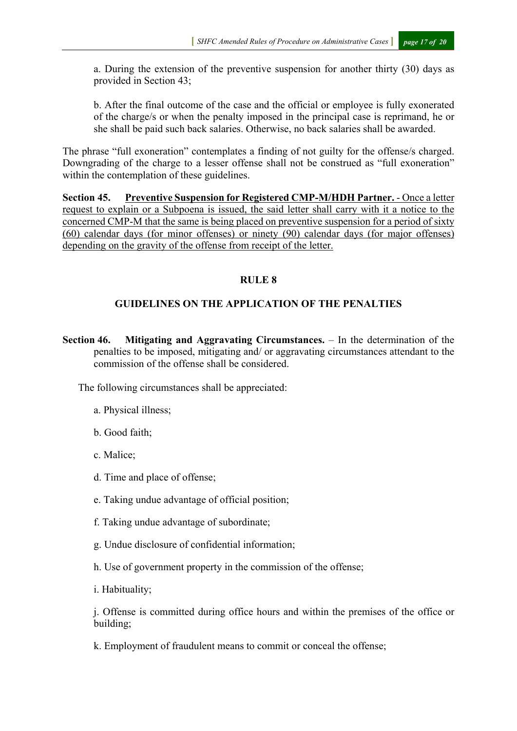a. During the extension of the preventive suspension for another thirty (30) days as provided in Section 43;

b. After the final outcome of the case and the official or employee is fully exonerated of the charge/s or when the penalty imposed in the principal case is reprimand, he or she shall be paid such back salaries. Otherwise, no back salaries shall be awarded.

The phrase "full exoneration" contemplates a finding of not guilty for the offense/s charged. Downgrading of the charge to a lesser offense shall not be construed as "full exoneration" within the contemplation of these guidelines.

**Section 45. Preventive Suspension for Registered CMP-M/HDH Partner.** - Once a letter request to explain or a Subpoena is issued, the said letter shall carry with it a notice to the concerned CMP-M that the same is being placed on preventive suspension for a period of sixty (60) calendar days (for minor offenses) or ninety (90) calendar days (for major offenses) depending on the gravity of the offense from receipt of the letter.

#### **RULE 8**

## **GUIDELINES ON THE APPLICATION OF THE PENALTIES**

**Section 46. Mitigating and Aggravating Circumstances.** – In the determination of the penalties to be imposed, mitigating and/ or aggravating circumstances attendant to the commission of the offense shall be considered.

The following circumstances shall be appreciated:

- a. Physical illness;
- b. Good faith;
- c. Malice;
- d. Time and place of offense;
- e. Taking undue advantage of official position;
- f. Taking undue advantage of subordinate;
- g. Undue disclosure of confidential information;
- h. Use of government property in the commission of the offense;
- i. Habituality;

j. Offense is committed during office hours and within the premises of the office or building;

k. Employment of fraudulent means to commit or conceal the offense;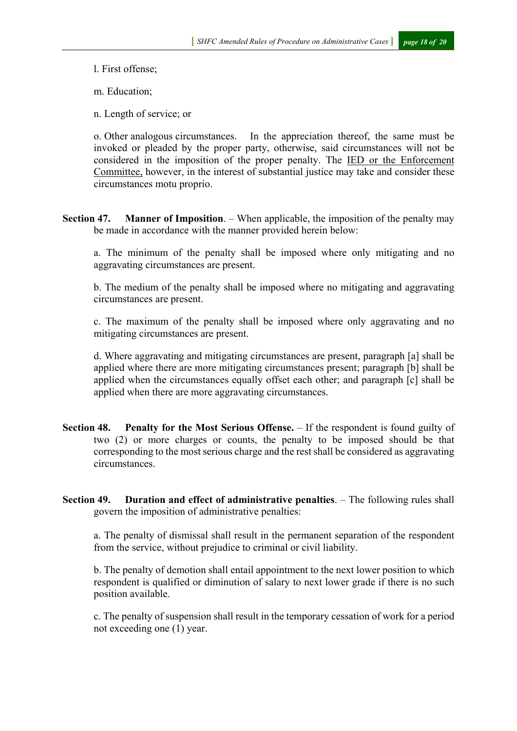l. First offense;

m. Education;

n. Length of service; or

o. Other analogous circumstances. In the appreciation thereof, the same must be invoked or pleaded by the proper party, otherwise, said circumstances will not be considered in the imposition of the proper penalty. The IED or the Enforcement Committee, however, in the interest of substantial justice may take and consider these circumstances motu proprio.

**Section 47. Manner of Imposition**. – When applicable, the imposition of the penalty may be made in accordance with the manner provided herein below:

a. The minimum of the penalty shall be imposed where only mitigating and no aggravating circumstances are present.

b. The medium of the penalty shall be imposed where no mitigating and aggravating circumstances are present.

c. The maximum of the penalty shall be imposed where only aggravating and no mitigating circumstances are present.

d. Where aggravating and mitigating circumstances are present, paragraph [a] shall be applied where there are more mitigating circumstances present; paragraph [b] shall be applied when the circumstances equally offset each other; and paragraph [c] shall be applied when there are more aggravating circumstances.

**Section 48. Penalty for the Most Serious Offense.** – If the respondent is found guilty of two (2) or more charges or counts, the penalty to be imposed should be that corresponding to the most serious charge and the rest shall be considered as aggravating circumstances.

**Section 49. Duration and effect of administrative penalties**. – The following rules shall govern the imposition of administrative penalties:

a. The penalty of dismissal shall result in the permanent separation of the respondent from the service, without prejudice to criminal or civil liability.

b. The penalty of demotion shall entail appointment to the next lower position to which respondent is qualified or diminution of salary to next lower grade if there is no such position available.

c. The penalty of suspension shall result in the temporary cessation of work for a period not exceeding one (1) year.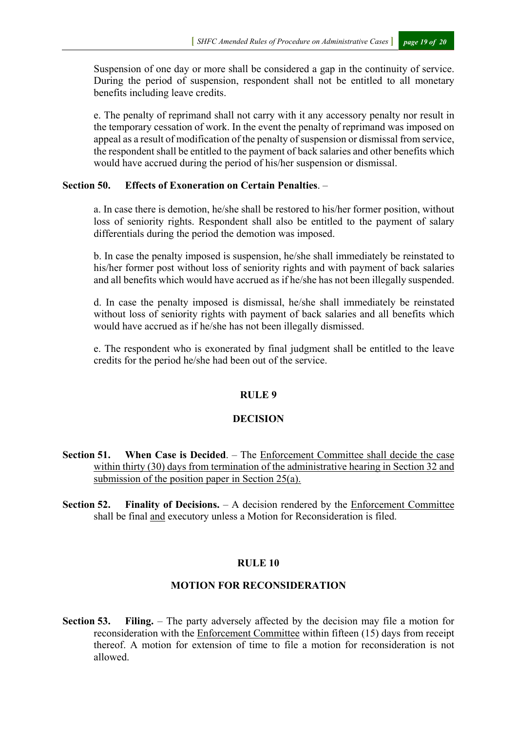Suspension of one day or more shall be considered a gap in the continuity of service. During the period of suspension, respondent shall not be entitled to all monetary benefits including leave credits.

e. The penalty of reprimand shall not carry with it any accessory penalty nor result in the temporary cessation of work. In the event the penalty of reprimand was imposed on appeal as a result of modification of the penalty of suspension or dismissal from service, the respondent shall be entitled to the payment of back salaries and other benefits which would have accrued during the period of his/her suspension or dismissal.

#### **Section 50. Effects of Exoneration on Certain Penalties**. –

a. In case there is demotion, he/she shall be restored to his/her former position, without loss of seniority rights. Respondent shall also be entitled to the payment of salary differentials during the period the demotion was imposed.

b. In case the penalty imposed is suspension, he/she shall immediately be reinstated to his/her former post without loss of seniority rights and with payment of back salaries and all benefits which would have accrued as if he/she has not been illegally suspended.

d. In case the penalty imposed is dismissal, he/she shall immediately be reinstated without loss of seniority rights with payment of back salaries and all benefits which would have accrued as if he/she has not been illegally dismissed.

e. The respondent who is exonerated by final judgment shall be entitled to the leave credits for the period he/she had been out of the service.

#### **RULE 9**

#### **DECISION**

- **Section 51. When Case is Decided**. The Enforcement Committee shall decide the case within thirty (30) days from termination of the administrative hearing in Section 32 and submission of the position paper in Section 25(a).
- **Section 52. Finality of Decisions.** A decision rendered by the Enforcement Committee shall be final and executory unless a Motion for Reconsideration is filed.

#### **RULE 10**

#### **MOTION FOR RECONSIDERATION**

**Section 53. Filing.** – The party adversely affected by the decision may file a motion for reconsideration with the Enforcement Committee within fifteen (15) days from receipt thereof. A motion for extension of time to file a motion for reconsideration is not allowed.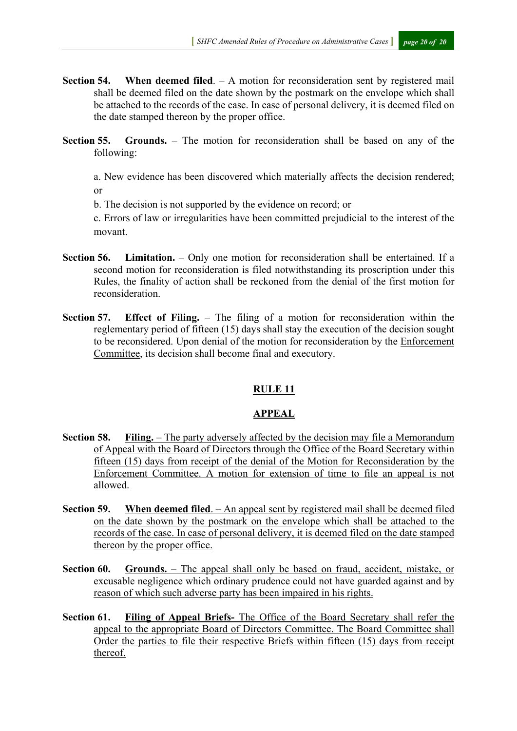- **Section 54. When deemed filed**. A motion for reconsideration sent by registered mail shall be deemed filed on the date shown by the postmark on the envelope which shall be attached to the records of the case. In case of personal delivery, it is deemed filed on the date stamped thereon by the proper office.
- **Section 55. Grounds.** The motion for reconsideration shall be based on any of the following:

a. New evidence has been discovered which materially affects the decision rendered; or

b. The decision is not supported by the evidence on record; or

c. Errors of law or irregularities have been committed prejudicial to the interest of the movant.

- **Section 56. Limitation.**  Only one motion for reconsideration shall be entertained. If a second motion for reconsideration is filed notwithstanding its proscription under this Rules, the finality of action shall be reckoned from the denial of the first motion for reconsideration.
- **Section 57. Effect of Filing.** The filing of a motion for reconsideration within the reglementary period of fifteen (15) days shall stay the execution of the decision sought to be reconsidered. Upon denial of the motion for reconsideration by the Enforcement Committee, its decision shall become final and executory.

#### **RULE 11**

## **APPEAL**

- **Section 58. Filing.** The party adversely affected by the decision may file a Memorandum of Appeal with the Board of Directors through the Office of the Board Secretary within fifteen (15) days from receipt of the denial of the Motion for Reconsideration by the Enforcement Committee. A motion for extension of time to file an appeal is not allowed.
- **Section 59. When deemed filed**. An appeal sent by registered mail shall be deemed filed on the date shown by the postmark on the envelope which shall be attached to the records of the case. In case of personal delivery, it is deemed filed on the date stamped thereon by the proper office.
- **Section 60. Grounds.** The appeal shall only be based on fraud, accident, mistake, or excusable negligence which ordinary prudence could not have guarded against and by reason of which such adverse party has been impaired in his rights.
- **Section 61. Filing of Appeal Briefs-** The Office of the Board Secretary shall refer the appeal to the appropriate Board of Directors Committee. The Board Committee shall Order the parties to file their respective Briefs within fifteen (15) days from receipt thereof.